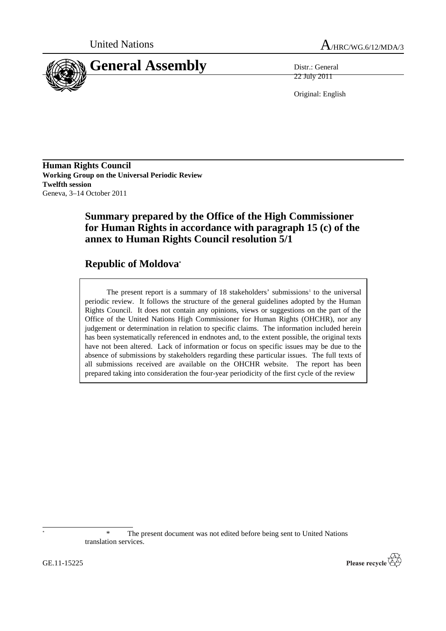



22 July 2011

Original: English

**Human Rights Council Working Group on the Universal Periodic Review Twelfth session** Geneva, 3–14 October 2011

# **Summary prepared by the Office of the High Commissioner for Human Rights in accordance with paragraph 15 (c) of the annex to Human Rights Council resolution 5/1**

# **Republic of Moldova\***

The present report is a summary of 18 stakeholders' submissions<sup>1</sup> to the universal periodic review. It follows the structure of the general guidelines adopted by the Human Rights Council. It does not contain any opinions, views or suggestions on the part of the Office of the United Nations High Commissioner for Human Rights (OHCHR), nor any judgement or determination in relation to specific claims. The information included herein has been systematically referenced in endnotes and, to the extent possible, the original texts have not been altered. Lack of information or focus on specific issues may be due to the absence of submissions by stakeholders regarding these particular issues. The full texts of all submissions received are available on the OHCHR website. The report has been prepared taking into consideration the four-year periodicity of the first cycle of the review

The present document was not edited before being sent to United Nations translation services.



GE.11-15225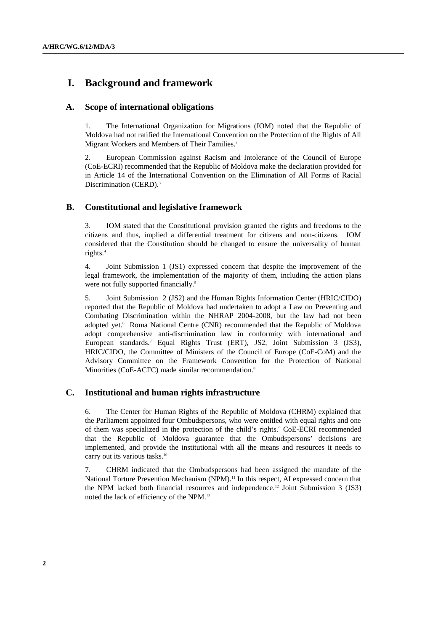# **I. Background and framework**

## **A. Scope of international obligations**

1. The International Organization for Migrations (IOM) noted that the Republic of Moldova had not ratified the International Convention on the Protection of the Rights of All Migrant Workers and Members of Their Families.<sup>2</sup>

2. European Commission against Racism and Intolerance of the Council of Europe (CoE-ECRI) recommended that the Republic of Moldova make the declaration provided for in Article 14 of the International Convention on the Elimination of All Forms of Racial Discrimination (CERD).<sup>3</sup>

# **B. Constitutional and legislative framework**

3. IOM stated that the Constitutional provision granted the rights and freedoms to the citizens and thus, implied a differential treatment for citizens and non-citizens. IOM considered that the Constitution should be changed to ensure the universality of human rights.<sup>4</sup>

4. Joint Submission 1 (JS1) expressed concern that despite the improvement of the legal framework, the implementation of the majority of them, including the action plans were not fully supported financially.<sup>5</sup>

5. Joint Submission 2 (JS2) and the Human Rights Information Center (HRIC/CIDO) reported that the Republic of Moldova had undertaken to adopt a Law on Preventing and Combating Discrimination within the NHRAP 2004-2008, but the law had not been adopted yet.<sup>6</sup> Roma National Centre (CNR) recommended that the Republic of Moldova adopt comprehensive anti-discrimination law in conformity with international and European standards.<sup>7</sup> Equal Rights Trust (ERT), JS2, Joint Submission 3 (JS3), HRIC/CIDO, the Committee of Ministers of the Council of Europe (CoE-CoM) and the Advisory Committee on the Framework Convention for the Protection of National Minorities (CoE-ACFC) made similar recommendation.<sup>8</sup>

# **C. Institutional and human rights infrastructure**

6. The Center for Human Rights of the Republic of Moldova (CHRM) explained that the Parliament appointed four Ombudspersons, who were entitled with equal rights and one of them was specialized in the protection of the child's rights.<sup>9</sup> CoE-ECRI recommended that the Republic of Moldova guarantee that the Ombudspersons' decisions are implemented, and provide the institutional with all the means and resources it needs to carry out its various tasks.<sup>10</sup>

7. CHRM indicated that the Ombudspersons had been assigned the mandate of the National Torture Prevention Mechanism (NPM).<sup>11</sup> In this respect, AI expressed concern that the NPM lacked both financial resources and independence.12 Joint Submission 3 (JS3) noted the lack of efficiency of the NPM.<sup>13</sup>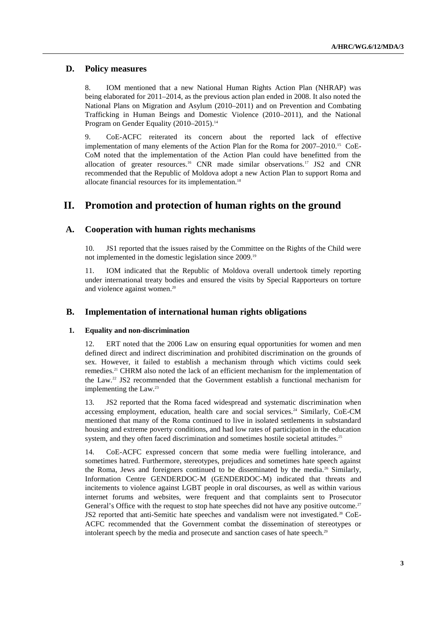## **D. Policy measures**

8. IOM mentioned that a new National Human Rights Action Plan (NHRAP) was being elaborated for 2011–2014, as the previous action plan ended in 2008. It also noted the National Plans on Migration and Asylum (2010–2011) and on Prevention and Combating Trafficking in Human Beings and Domestic Violence (2010–2011), and the National Program on Gender Equality (2010–2015).<sup>14</sup>

9. CoE-ACFC reiterated its concern about the reported lack of effective implementation of many elements of the Action Plan for the Roma for 2007–2010.15 CoE-CoM noted that the implementation of the Action Plan could have benefitted from the allocation of greater resources.16 CNR made similar observations.17 JS2 and CNR recommended that the Republic of Moldova adopt a new Action Plan to support Roma and allocate financial resources for its implementation. 18

# **II. Promotion and protection of human rights on the ground**

## **A. Cooperation with human rights mechanisms**

10. JS1 reported that the issues raised by the Committee on the Rights of the Child were not implemented in the domestic legislation since 2009.<sup>19</sup>

11. IOM indicated that the Republic of Moldova overall undertook timely reporting under international treaty bodies and ensured the visits by Special Rapporteurs on torture and violence against women.<sup>20</sup>

## **B. Implementation of international human rights obligations**

#### **1. Equality and non-discrimination**

12. ERT noted that the 2006 Law on ensuring equal opportunities for women and men defined direct and indirect discrimination and prohibited discrimination on the grounds of sex. However, it failed to establish a mechanism through which victims could seek remedies.21 CHRM also noted the lack of an efficient mechanism for the implementation of the Law.22 JS2 recommended that the Government establish a functional mechanism for implementing the Law.<sup>23</sup>

13. JS2 reported that the Roma faced widespread and systematic discrimination when accessing employment, education, health care and social services.<sup>24</sup> Similarly, CoE-CM mentioned that many of the Roma continued to live in isolated settlements in substandard housing and extreme poverty conditions, and had low rates of participation in the education system, and they often faced discrimination and sometimes hostile societal attitudes.<sup>25</sup>

14. CoE-ACFC expressed concern that some media were fuelling intolerance, and sometimes hatred. Furthermore, stereotypes, prejudices and sometimes hate speech against the Roma, Jews and foreigners continued to be disseminated by the media.26 Similarly, Information Centre GENDERDOC-M (GENDERDOC-M) indicated that threats and incitements to violence against LGBT people in oral discourses, as well as within various internet forums and websites, were frequent and that complaints sent to Prosecutor General's Office with the request to stop hate speeches did not have any positive outcome.<sup>27</sup> JS2 reported that anti-Semitic hate speeches and vandalism were not investigated.28 CoE-ACFC recommended that the Government combat the dissemination of stereotypes or intolerant speech by the media and prosecute and sanction cases of hate speech.<sup>29</sup>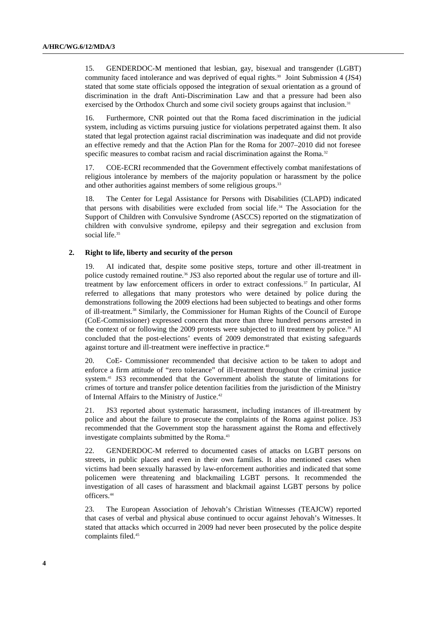15. GENDERDOC-M mentioned that lesbian, gay, bisexual and transgender (LGBT) community faced intolerance and was deprived of equal rights.<sup>30</sup> Joint Submission 4 (JS4) stated that some state officials opposed the integration of sexual orientation as a ground of discrimination in the draft Anti-Discrimination Law and that a pressure had been also exercised by the Orthodox Church and some civil society groups against that inclusion.<sup>31</sup>

16. Furthermore, CNR pointed out that the Roma faced discrimination in the judicial system, including as victims pursuing justice for violations perpetrated against them. It also stated that legal protection against racial discrimination was inadequate and did not provide an effective remedy and that the Action Plan for the Roma for 2007–2010 did not foresee specific measures to combat racism and racial discrimination against the Roma.<sup>32</sup>

17. COE-ECRI recommended that the Government effectively combat manifestations of religious intolerance by members of the majority population or harassment by the police and other authorities against members of some religious groups.<sup>33</sup>

18. The Center for Legal Assistance for Persons with Disabilities (CLAPD) indicated that persons with disabilities were excluded from social life.34 The Association for the Support of Children with Convulsive Syndrome (ASCCS) reported on the stigmatization of children with convulsive syndrome, epilepsy and their segregation and exclusion from social life.<sup>35</sup>

## **2. Right to life, liberty and security of the person**

19. AI indicated that, despite some positive steps, torture and other ill-treatment in police custody remained routine.36 JS3 also reported about the regular use of torture and illtreatment by law enforcement officers in order to extract confessions.<sup>37</sup> In particular, AI referred to allegations that many protestors who were detained by police during the demonstrations following the 2009 elections had been subjected to beatings and other forms of ill-treatment.38 Similarly, the Commissioner for Human Rights of the Council of Europe (CoE-Commissioner) expressed concern that more than three hundred persons arrested in the context of or following the 2009 protests were subjected to ill treatment by police.<sup>39</sup> AI concluded that the post-elections' events of 2009 demonstrated that existing safeguards against torture and ill-treatment were ineffective in practice.<sup>40</sup>

20. CoE- Commissioner recommended that decisive action to be taken to adopt and enforce a firm attitude of "zero tolerance" of ill-treatment throughout the criminal justice system.41 JS3 recommended that the Government abolish the statute of limitations for crimes of torture and transfer police detention facilities from the jurisdiction of the Ministry of Internal Affairs to the Ministry of Justice.<sup>42</sup>

21. JS3 reported about systematic harassment, including instances of ill-treatment by police and about the failure to prosecute the complaints of the Roma against police. JS3 recommended that the Government stop the harassment against the Roma and effectively investigate complaints submitted by the Roma.<sup>43</sup>

22. GENDERDOC-M referred to documented cases of attacks on LGBT persons on streets, in public places and even in their own families. It also mentioned cases when victims had been sexually harassed by law-enforcement authorities and indicated that some policemen were threatening and blackmailing LGBT persons. It recommended the investigation of all cases of harassment and blackmail against LGBT persons by police officers.<sup>44</sup>

23. The European Association of Jehovah's Christian Witnesses (TEAJCW) reported that cases of verbal and physical abuse continued to occur against Jehovah's Witnesses. It stated that attacks which occurred in 2009 had never been prosecuted by the police despite complaints filed.<sup>45</sup>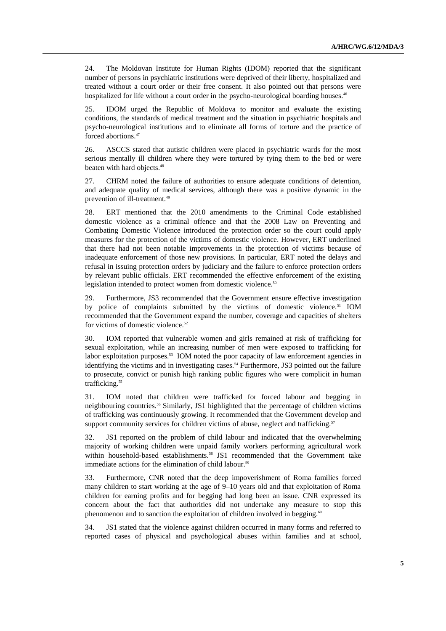24. The Moldovan Institute for Human Rights (IDOM) reported that the significant number of persons in psychiatric institutions were deprived of their liberty, hospitalized and treated without a court order or their free consent. It also pointed out that persons were hospitalized for life without a court order in the psycho-neurological boarding houses.<sup>46</sup>

25. IDOM urged the Republic of Moldova to monitor and evaluate the existing conditions, the standards of medical treatment and the situation in psychiatric hospitals and psycho-neurological institutions and to eliminate all forms of torture and the practice of forced abortions.<sup>47</sup>

26. ASCCS stated that autistic children were placed in psychiatric wards for the most serious mentally ill children where they were tortured by tying them to the bed or were beaten with hard objects.<sup>48</sup>

27. CHRM noted the failure of authorities to ensure adequate conditions of detention, and adequate quality of medical services, although there was a positive dynamic in the prevention of ill-treatment.<sup>49</sup>

28. ERT mentioned that the 2010 amendments to the Criminal Code established domestic violence as a criminal offence and that the 2008 Law on Preventing and Combating Domestic Violence introduced the protection order so the court could apply measures for the protection of the victims of domestic violence. However, ERT underlined that there had not been notable improvements in the protection of victims because of inadequate enforcement of those new provisions. In particular, ERT noted the delays and refusal in issuing protection orders by judiciary and the failure to enforce protection orders by relevant public officials. ERT recommended the effective enforcement of the existing legislation intended to protect women from domestic violence.<sup>50</sup>

29. Furthermore, JS3 recommended that the Government ensure effective investigation by police of complaints submitted by the victims of domestic violence.<sup>51</sup> IOM recommended that the Government expand the number, coverage and capacities of shelters for victims of domestic violence.<sup>52</sup>

30. IOM reported that vulnerable women and girls remained at risk of trafficking for sexual exploitation, while an increasing number of men were exposed to trafficking for labor exploitation purposes.<sup>53</sup> IOM noted the poor capacity of law enforcement agencies in identifying the victims and in investigating cases.<sup>54</sup> Furthermore, JS3 pointed out the failure to prosecute, convict or punish high ranking public figures who were complicit in human trafficking.<sup>55</sup>

31. IOM noted that children were trafficked for forced labour and begging in neighbouring countries.56 Similarly, JS1 highlighted that the percentage of children victims of trafficking was continuously growing. It recommended that the Government develop and support community services for children victims of abuse, neglect and trafficking.<sup>57</sup>

32. JS1 reported on the problem of child labour and indicated that the overwhelming majority of working children were unpaid family workers performing agricultural work within household-based establishments.<sup>58</sup> JS1 recommended that the Government take immediate actions for the elimination of child labour.<sup>59</sup>

33. Furthermore, CNR noted that the deep impoverishment of Roma families forced many children to start working at the age of 9–10 years old and that exploitation of Roma children for earning profits and for begging had long been an issue. CNR expressed its concern about the fact that authorities did not undertake any measure to stop this phenomenon and to sanction the exploitation of children involved in begging.<sup>60</sup>

34. JS1 stated that the violence against children occurred in many forms and referred to reported cases of physical and psychological abuses within families and at school,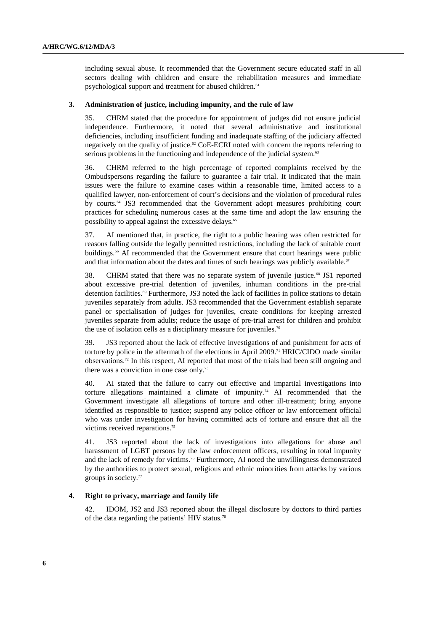including sexual abuse. It recommended that the Government secure educated staff in all sectors dealing with children and ensure the rehabilitation measures and immediate psychological support and treatment for abused children.<sup>61</sup>

#### **3. Administration of justice, including impunity, and the rule of law**

35. CHRM stated that the procedure for appointment of judges did not ensure judicial independence. Furthermore, it noted that several administrative and institutional deficiencies, including insufficient funding and inadequate staffing of the judiciary affected negatively on the quality of justice.<sup>62</sup> CoE-ECRI noted with concern the reports referring to serious problems in the functioning and independence of the judicial system.<sup>63</sup>

36. CHRM referred to the high percentage of reported complaints received by the Ombudspersons regarding the failure to guarantee a fair trial. It indicated that the main issues were the failure to examine cases within a reasonable time, limited access to a qualified lawyer, non-enforcement of court's decisions and the violation of procedural rules by courts.64 JS3 recommended that the Government adopt measures prohibiting court practices for scheduling numerous cases at the same time and adopt the law ensuring the possibility to appeal against the excessive delays.<sup>65</sup>

37. AI mentioned that, in practice, the right to a public hearing was often restricted for reasons falling outside the legally permitted restrictions, including the lack of suitable court buildings.<sup>66</sup> AI recommended that the Government ensure that court hearings were public and that information about the dates and times of such hearings was publicly available.<sup>67</sup>

38. CHRM stated that there was no separate system of juvenile justice.68 JS1 reported about excessive pre-trial detention of juveniles, inhuman conditions in the pre-trial detention facilities.69 Furthermore, JS3 noted the lack of facilities in police stations to detain juveniles separately from adults. JS3 recommended that the Government establish separate panel or specialisation of judges for juveniles, create conditions for keeping arrested juveniles separate from adults; reduce the usage of pre-trial arrest for children and prohibit the use of isolation cells as a disciplinary measure for juveniles.<sup>70</sup>

39. JS3 reported about the lack of effective investigations of and punishment for acts of torture by police in the aftermath of the elections in April 2009.<sup>71</sup> HRIC/CIDO made similar observations.72 In this respect, AI reported that most of the trials had been still ongoing and there was a conviction in one case only.<sup>73</sup>

40. AI stated that the failure to carry out effective and impartial investigations into torture allegations maintained a climate of impunity.74 AI recommended that the Government investigate all allegations of torture and other ill-treatment; bring anyone identified as responsible to justice; suspend any police officer or law enforcement official who was under investigation for having committed acts of torture and ensure that all the victims received reparations.<sup>75</sup>

41. JS3 reported about the lack of investigations into allegations for abuse and harassment of LGBT persons by the law enforcement officers, resulting in total impunity and the lack of remedy for victims.<sup>76</sup> Furthermore, AI noted the unwillingness demonstrated by the authorities to protect sexual, religious and ethnic minorities from attacks by various groups in society.<sup>77</sup>

#### **4. Right to privacy, marriage and family life**

42. IDOM, JS2 and JS3 reported about the illegal disclosure by doctors to third parties of the data regarding the patients' HIV status.<sup>78</sup>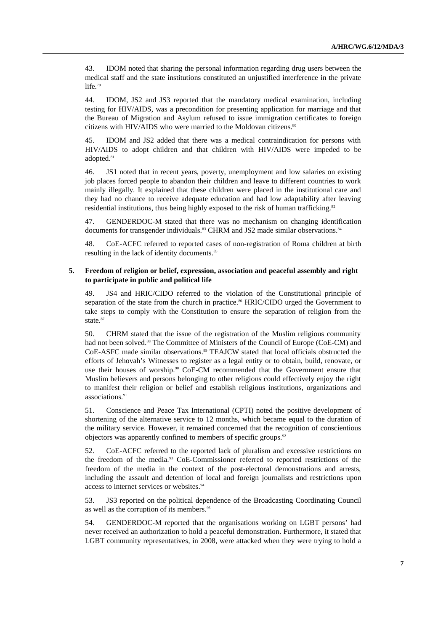43. IDOM noted that sharing the personal information regarding drug users between the medical staff and the state institutions constituted an unjustified interference in the private life.<sup>79</sup>

44. IDOM, JS2 and JS3 reported that the mandatory medical examination, including testing for HIV/AIDS, was a precondition for presenting application for marriage and that the Bureau of Migration and Asylum refused to issue immigration certificates to foreign citizens with HIV/AIDS who were married to the Moldovan citizens.<sup>80</sup>

45. IDOM and JS2 added that there was a medical contraindication for persons with HIV/AIDS to adopt children and that children with HIV/AIDS were impeded to be adopted.<sup>81</sup>

46. JS1 noted that in recent years, poverty, unemployment and low salaries on existing job places forced people to abandon their children and leave to different countries to work mainly illegally. It explained that these children were placed in the institutional care and they had no chance to receive adequate education and had low adaptability after leaving residential institutions, thus being highly exposed to the risk of human trafficking.<sup>82</sup>

47. GENDERDOC-M stated that there was no mechanism on changing identification documents for transgender individuals.<sup>83</sup> CHRM and JS2 made similar observations.<sup>84</sup>

48. CoE-ACFC referred to reported cases of non-registration of Roma children at birth resulting in the lack of identity documents.<sup>85</sup>

#### **5. Freedom of religion or belief, expression, association and peaceful assembly and right to participate in public and political life**

49. JS4 and HRIC/CIDO referred to the violation of the Constitutional principle of separation of the state from the church in practice.<sup>86</sup> HRIC/CIDO urged the Government to take steps to comply with the Constitution to ensure the separation of religion from the state.<sup>87</sup>

50. CHRM stated that the issue of the registration of the Muslim religious community had not been solved.<sup>88</sup> The Committee of Ministers of the Council of Europe (CoE-CM) and CoE-ASFC made similar observations.<sup>89</sup> TEAJCW stated that local officials obstructed the efforts of Jehovah's Witnesses to register as a legal entity or to obtain, build, renovate, or use their houses of worship.<sup>90</sup> CoE-CM recommended that the Government ensure that Muslim believers and persons belonging to other religions could effectively enjoy the right to manifest their religion or belief and establish religious institutions, organizations and associations.<sup>91</sup>

51. Conscience and Peace Tax International (CPTI) noted the positive development of shortening of the alternative service to 12 months, which became equal to the duration of the military service. However, it remained concerned that the recognition of conscientious objectors was apparently confined to members of specific groups.<sup>92</sup>

52. CoE-ACFC referred to the reported lack of pluralism and excessive restrictions on the freedom of the media.93 CoE-Commissioner referred to reported restrictions of the freedom of the media in the context of the post-electoral demonstrations and arrests, including the assault and detention of local and foreign journalists and restrictions upon access to internet services or websites.<sup>94</sup>

53. JS3 reported on the political dependence of the Broadcasting Coordinating Council as well as the corruption of its members.<sup>95</sup>

54. GENDERDOC-M reported that the organisations working on LGBT persons' had never received an authorization to hold a peaceful demonstration. Furthermore, it stated that LGBT community representatives, in 2008, were attacked when they were trying to hold a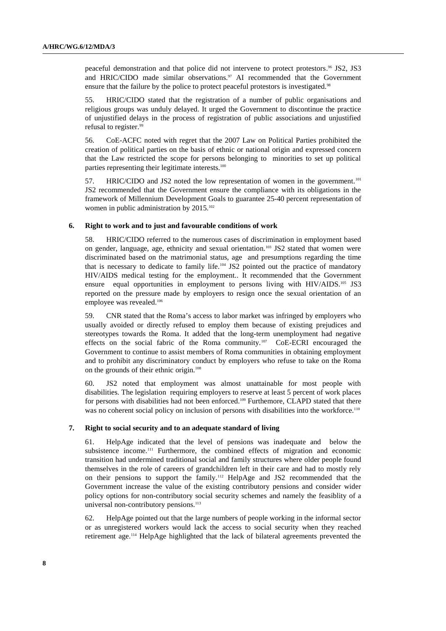peaceful demonstration and that police did not intervene to protect protestors.<sup>96</sup> JS2, JS3 and HRIC/CIDO made similar observations. $97$  AI recommended that the Government ensure that the failure by the police to protect peaceful protestors is investigated.<sup>98</sup>

55. HRIC/CIDO stated that the registration of a number of public organisations and religious groups was unduly delayed. It urged the Government to discontinue the practice of unjustified delays in the process of registration of public associations and unjustified refusal to register.<sup>99</sup>

56. CoE-ACFC noted with regret that the 2007 Law on Political Parties prohibited the creation of political parties on the basis of ethnic or national origin and expressed concern that the Law restricted the scope for persons belonging to minorities to set up political parties representing their legitimate interests.<sup>100</sup>

57. HRIC/CIDO and JS2 noted the low representation of women in the government.<sup>101</sup> JS2 recommended that the Government ensure the compliance with its obligations in the framework of Millennium Development Goals to guarantee 25-40 percent representation of women in public administration by 2015.<sup>102</sup>

#### **6. Right to work and to just and favourable conditions of work**

58. HRIC/CIDO referred to the numerous cases of discrimination in employment based on gender, language, age, ethnicity and sexual orientation.<sup>103</sup> JS2 stated that women were discriminated based on the matrimonial status, age and presumptions regarding the time that is necessary to dedicate to family life.<sup>104</sup> JS2 pointed out the practice of mandatory HIV/AIDS medical testing for the employment.. It recommended that the Government ensure equal opportunities in employment to persons living with HIV/AIDS.<sup>105</sup> JS3 reported on the pressure made by employers to resign once the sexual orientation of an employee was revealed.<sup>106</sup>

59. CNR stated that the Roma's access to labor market was infringed by employers who usually avoided or directly refused to employ them because of existing prejudices and stereotypes towards the Roma. It added that the long-term unemployment had negative effects on the social fabric of the Roma community.<sup>107</sup> CoE-ECRI encouraged the Government to continue to assist members of Roma communities in obtaining employment and to prohibit any discriminatory conduct by employers who refuse to take on the Roma on the grounds of their ethnic origin.<sup>108</sup>

60. JS2 noted that employment was almost unattainable for most people with disabilities. The legislation requiring employers to reserve at least 5 percent of work places for persons with disabilities had not been enforced.<sup>109</sup> Furthemore, CLAPD stated that there was no coherent social policy on inclusion of persons with disabilities into the workforce.<sup>110</sup>

#### **7. Right to social security and to an adequate standard of living**

61. HelpAge indicated that the level of pensions was inadequate and below the subsistence income.111 Furthermore, the combined effects of migration and economic transition had undermined traditional social and family structures where older people found themselves in the role of careers of grandchildren left in their care and had to mostly rely on their pensions to support the family.112 HelpAge and JS2 recommended that the Government increase the value of the existing contributory pensions and consider wider policy options for non-contributory social security schemes and namely the feasiblity of a universal non-contributory pensions.<sup>113</sup>

62. HelpAge pointed out that the large numbers of people working in the informal sector or as unregistered workers would lack the access to social security when they reached retirement age.114 HelpAge highlighted that the lack of bilateral agreements prevented the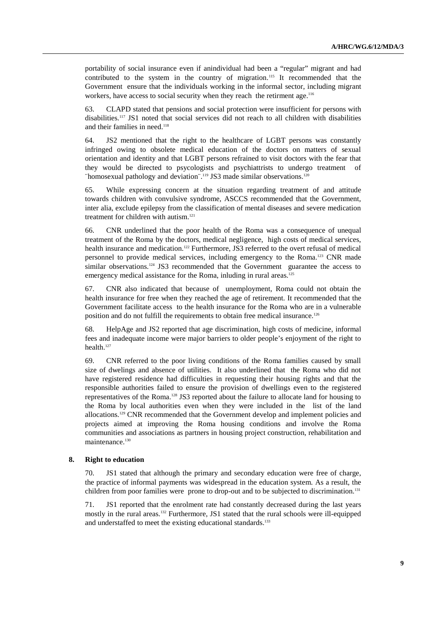portability of social insurance even if anindividual had been a "regular" migrant and had contributed to the system in the country of migration.<sup>115</sup> It recommended that the Government ensure that the individuals working in the informal sector, including migrant workers, have access to social security when they reach the retirment age.<sup>116</sup>

63. CLAPD stated that pensions and social protection were insufficient for persons with disabilities.117 JS1 noted that social services did not reach to all children with disabilities and their families in need.<sup>118</sup>

64. JS2 mentioned that the right to the healthcare of LGBT persons was constantly infringed owing to obsolete medical education of the doctors on matters of sexual orientation and identity and that LGBT persons refrained to visit doctors with the fear that they would be directed to psycologists and psychiattrists to undergo treatment of ¨homosexual pathology and deviation¨.119 JS3 made similar observations.<sup>120</sup>

65. While expressing concern at the situation regarding treatment of and attitude towards children with convulsive syndrome, ASCCS recommended that the Government, inter alia, exclude epilepsy from the classification of mental diseases and severe medication treatment for children with autism.<sup>121</sup>

66. CNR underlined that the poor health of the Roma was a consequence of unequal treatment of the Roma by the doctors, medical negligence, high costs of medical services, health insurance and medication.<sup>122</sup> Furthermore, JS3 referred to the overt refusal of medical personnel to provide medical services, including emergency to the Roma.123 CNR made similar observations.<sup>124</sup> JS3 recommended that the Government guarantee the access to emergency medical assistance for the Roma, inluding in rural areas.<sup>125</sup>

67. CNR also indicated that because of unemployment, Roma could not obtain the health insurance for free when they reached the age of retirement. It recommended that the Government facilitate access to the health insurance for the Roma who are in a vulnerable position and do not fulfill the requirements to obtain free medical insurance.<sup>126</sup>

68. HelpAge and JS2 reported that age discrimination, high costs of medicine, informal fees and inadequate income were major barriers to older people's enjoyment of the right to health.<sup>127</sup>

69. CNR referred to the poor living conditions of the Roma families caused by small size of dwelings and absence of utilities. It also underlined that the Roma who did not have registered residence had difficulties in requesting their housing rights and that the responsible authorities failed to ensure the provision of dwellings even to the registered representatives of the Roma.128 JS3 reported about the failure to allocate land for housing to the Roma by local authorities even when they were included in the list of the land allocations.129 CNR recommended that the Government develop and implement policies and projects aimed at improving the Roma housing conditions and involve the Roma communities and associations as partners in housing project construction, rehabilitation and maintenance.<sup>130</sup>

#### **8. Right to education**

70. JS1 stated that although the primary and secondary education were free of charge, the practice of informal payments was widespread in the education system. As a result, the children from poor families were prone to drop-out and to be subjected to discrimination.<sup>131</sup>

71. JS1 reported that the enrolment rate had constantly decreased during the last years mostly in the rural areas.<sup>132</sup> Furthermore, JS1 stated that the rural schools were ill-equipped and understaffed to meet the existing educational standards.<sup>133</sup>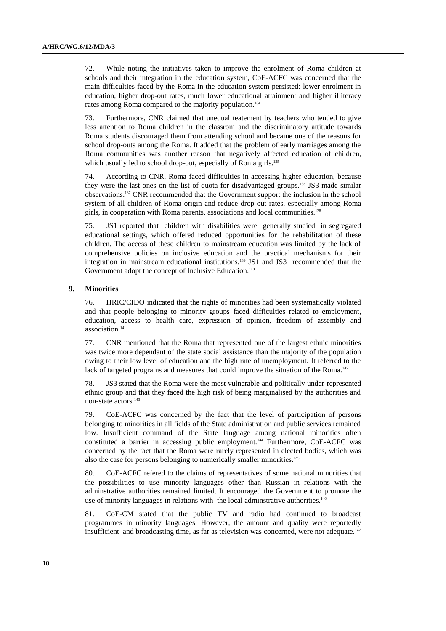72. While noting the initiatives taken to improve the enrolment of Roma children at schools and their integration in the education system, CoE-ACFC was concerned that the main difficulties faced by the Roma in the education system persisted: lower enrolment in education, higher drop-out rates, much lower educational attainment and higher illiteracy rates among Roma compared to the majority population.<sup>134</sup>

73. Furthermore, CNR claimed that unequal teatement by teachers who tended to give less attention to Roma children in the classrom and the discriminatory attitude towards Roma students discouraged them from attending school and became one of the reasons for school drop-outs among the Roma. It added that the problem of early marriages among the Roma communities was another reason that negatively affected education of children, which usually led to school drop-out, especially of Roma girls.<sup>135</sup>

74. According to CNR, Roma faced difficulties in accessing higher education, because they were the last ones on the list of quota for disadvantaged groups.136 JS3 made similar observations.137 CNR recommended that the Government support the inclusion in the school system of all children of Roma origin and reduce drop-out rates, especially among Roma girls, in cooperation with Roma parents, associations and local communities.<sup>138</sup>

75. JS1 reported that children with disabilities were generally studied in segregated educational settings, which offered reduced opportunities for the rehabilitation of these children. The access of these children to mainstream education was limited by the lack of comprehensive policies on inclusive education and the practical mechanisms for their integration in mainstream educational institutions.139 JS1 and JS3 recommended that the Government adopt the concept of Inclusive Education.<sup>140</sup>

#### **9. Minorities**

76. HRIC/CIDO indicated that the rights of minorities had been systematically violated and that people belonging to minority groups faced difficulties related to employment, education, access to health care, expression of opinion, freedom of assembly and association.<sup>141</sup>

77. CNR mentioned that the Roma that represented one of the largest ethnic minorities was twice more dependant of the state social assistance than the majority of the population owing to their low level of education and the high rate of unemployment. It referred to the lack of targeted programs and measures that could improve the situation of the Roma.<sup>142</sup>

78. JS3 stated that the Roma were the most vulnerable and politically under-represented ethnic group and that they faced the high risk of being marginalised by the authorities and non-state actors.<sup>143</sup>

79. CoE-ACFC was concerned by the fact that the level of participation of persons belonging to minorities in all fields of the State administration and public services remained low. Insufficient command of the State language among national minorities often constituted a barrier in accessing public employment.<sup>144</sup> Furthermore, CoE-ACFC was concerned by the fact that the Roma were rarely represented in elected bodies, which was also the case for persons belonging to numerically smaller minorities.<sup>145</sup>

80. CoE-ACFC refered to the claims of representatives of some national minorities that the possibilities to use minority languages other than Russian in relations with the adminstrative authorities remained limited. It encouraged the Government to promote the use of minority languages in relations with the local adminstrative authorities.<sup>146</sup>

81. CoE-CM stated that the public TV and radio had continued to broadcast programmes in minority languages. However, the amount and quality were reportedly insufficient and broadcasting time, as far as television was concerned, were not adequate.<sup>147</sup>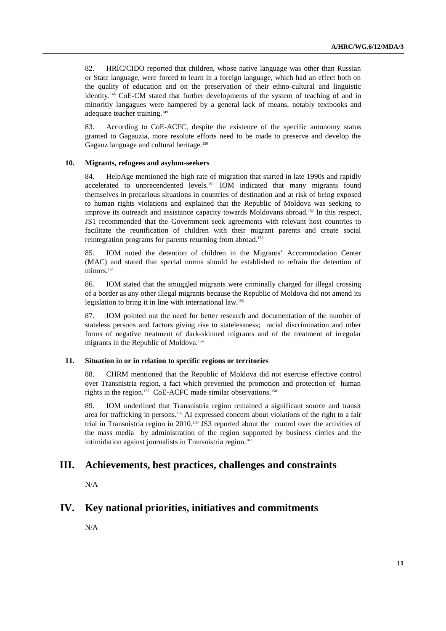82. HRIC/CIDO reported that children, whose native language was other than Russian or State language, were forced to learn in a foreign language, which had an effect both on the quality of education and on the preservation of their ethno-cultural and linguistic identity.148 CoE-CM stated that further developments of the system of teaching of and in minoritiy langagues were hampered by a general lack of means, notably textbooks and adequate teacher training.<sup>149</sup>

83. According to CoE-ACFC, despite the existence of the specific autonomy status granted to Gagauzia, more resolute efforts need to be made to preserve and develop the Gagauz language and cultural heritage.<sup>150</sup>

#### **10. Migrants, refugees and asylum-seekers**

84. HelpAge mentioned the high rate of migration that started in late 1990s and rapidly accelerated to unprecendented levels.151 IOM indicated that many migrants found themselves in precarious situations in countries of destination and at risk of being exposed to human rights violations and explained that the Republic of Moldova was seeking to improve its outreach and assistance capacity towards Moldovans abroad.<sup>152</sup> In this respect, JS1 recommended that the Government seek agreements with relevant host countries to facilitate the reunification of children with their migrant parents and create social reintegration programs for parents returning from abroad.<sup>153</sup>

85. IOM noted the detention of children in the Migrants' Accommodation Center (MAC) and stated that special norms should be established to refrain the detention of minors.<sup>154</sup>

86. IOM stated that the smuggled migrants were criminally charged for illegal crossing of a border as any other illegal migrants because the Republic of Moldova did not amend its legislation to bring it in line with international law.<sup>155</sup>

87. IOM pointed out the need for better research and documentation of the number of stateless persons and factors giving rise to statelessness; racial discrimination and other forms of negative treatment of dark-skinned migrants and of the treatment of irregular migrants in the Republic of Moldova.<sup>156</sup>

## **11. Situation in or in relation to specific regions or territories**

88. CHRM mentioned that the Republic of Moldova did not exercise effective control over Transnistria region, a fact which prevented the promotion and protection of human rights in the region.<sup>157</sup> CoE-ACFC made similar observations.<sup>158</sup>

89. IOM underlined that Transnistria region remained a significant source and transit area for trafficking in persons.159 AI expressed concern about violations of the right to a fair trial in Transnistria region in 2010.160 JS3 reported about the control over the activities of the mass media by administration of the region supported by business circles and the intimidation against journalists in Transnistria region.<sup>161</sup>

# **III. Achievements, best practices, challenges and constraints**

N/A

# **IV. Key national priorities, initiatives and commitments**

N/A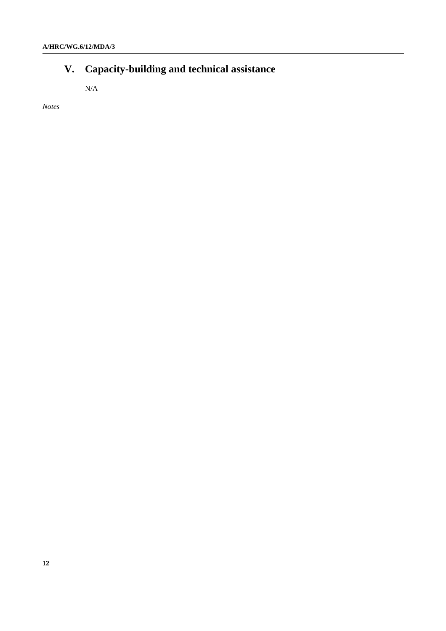# **V. Capacity-building and technical assistance**

N/A

*Notes*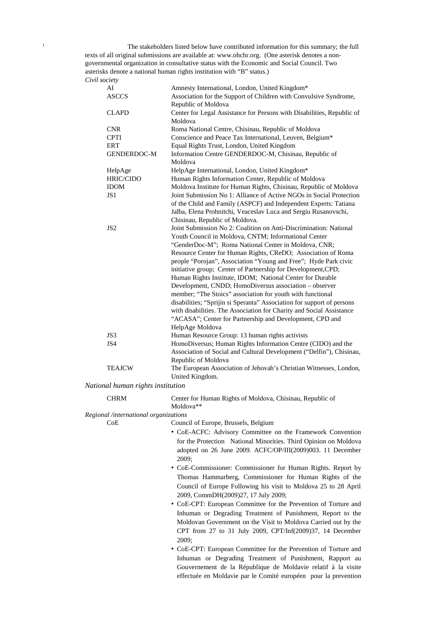<sup>1</sup> The stakeholders listed below have contributed information for this summary; the full texts of all original submissions are available at: www.ohchr.org. (One asterisk denotes a nongovernmental organization in consultative status with the Economic and Social Council. Two asterisks denote a national human rights institution with "B" status.) *Civil society*

| AI                 | Amnesty International, London, United Kingdom*                         |
|--------------------|------------------------------------------------------------------------|
| <b>ASCCS</b>       | Association for the Support of Children with Convulsive Syndrome,      |
|                    | Republic of Moldova                                                    |
| <b>CLAPD</b>       | Center for Legal Assistance for Persons with Disabilities, Republic of |
|                    | Moldova                                                                |
| <b>CNR</b>         | Roma National Centre, Chisinau, Republic of Moldova                    |
| <b>CPTI</b>        | Conscience and Peace Tax International, Leuven, Belgium*               |
| <b>ERT</b>         | Equal Rights Trust, London, United Kingdom                             |
| <b>GENDERDOC-M</b> | Information Centre GENDERDOC-M, Chisinau, Republic of                  |
|                    | Moldova                                                                |
| HelpAge            | HelpAge International, London, United Kingdom*                         |
| <b>HRIC/CIDO</b>   | Human Rights Information Center, Republic of Moldova                   |
| <b>IDOM</b>        | Moldova Institute for Human Rights, Chisinau, Republic of Moldova      |
| JS1                | Joint Submission No 1: Alliance of Active NGOs in Social Protection    |
|                    | of the Child and Family (ASPCF) and Independent Experts: Tatiana       |
|                    | Jalba, Elena Prohnitchi, Veaceslav Luca and Sergiu Rusanovschi,        |
|                    | Chisinau, Republic of Moldova.                                         |
| JS <sub>2</sub>    | Joint Submission No 2: Coalition on Anti-Discrimination: National      |
|                    | Youth Council in Moldova, CNTM; Informational Center                   |
|                    | "GenderDoc-M"; Roma National Center in Moldova, CNR;                   |
|                    | Resource Center for Human Rights, CReDO; Association of Roma           |
|                    | people "Porojan", Association "Young and Free"; Hyde Park civic        |
|                    | initiative group; Center of Partnership for Development, CPD;          |
|                    | Human Rights Institute, IDOM; National Center for Durable              |
|                    | Development, CNDD; HomoDiversus association - observer                 |
|                    | member; "The Stoics" association for youth with functional             |
|                    | disabilities; "Sprijin si Speranta" Association for support of persons |
|                    | with disabilities. The Association for Charity and Social Assistance   |
|                    | "ACASA"; Center for Partnership and Development, CPD and               |
|                    | HelpAge Moldova                                                        |
| JS3                | Human Resource Group: 13 human rights activists                        |
| JS4                | HomoDiversus; Human Rights Information Centre (CIDO) and the           |
|                    | Association of Social and Cultural Development ("Delfin"), Chisinau,   |
|                    | Republic of Moldova                                                    |
| <b>TEAJCW</b>      | The European Association of Jehovah's Christian Witnesses, London,     |
|                    | United Kingdom.                                                        |

*National human rights institution*

| <b>CHRM</b> | Center for Human Rights of Moldova, Chisinau, Republic of |
|-------------|-----------------------------------------------------------|
|             | Moldova <sup>**</sup>                                     |
|             |                                                           |

*Regional /international organizations*

CoE Council of Europe, Brussels, Belgium

- CoE-ACFC: Advisory Committee on the Framework Convention for the Protection National Minorities. Third Opinion on Moldova adopted on 26 June 2009. ACFC/OP/III(2009)003. 11 December 2009;
- CoE-Commissioner: Commissioner for Human Rights. Report by Thomas Hammarberg, Commissioner for Human Rights of the Council of Europe Following his visit to Moldova 25 to 28 April 2009, CommDH(2009)27, 17 July 2009;
- CoE-CPT: European Committee for the Prevention of Torture and Inhuman or Degrading Treatment of Punishment, Report to the Moldovan Government on the Visit to Moldova Carried out by the CPT from 27 to 31 July 2009, CPT/Inf(2009)37, 14 December 2009;
- CoE-CPT: European Committee for the Prevention of Torture and Inhuman or Degrading Treatment of Punishment, Rapport au Gouvernement de la République de Moldavie relatif à la visite effectuée en Moldavie par le Comité européen pour la prevention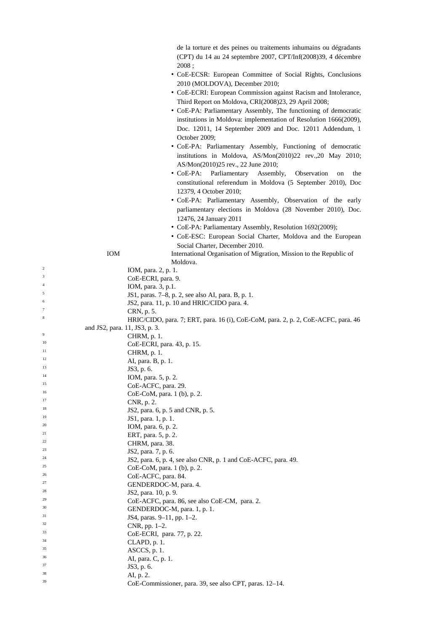de la torture et des peines ou traitements inhumains ou dégradants (CPT) du 14 au 24 septembre 2007, CPT/Inf(2008)39, 4 décembre 2008 ;

- CoE-ECSR: European Committee of Social Rights, Conclusions 2010 (MOLDOVA), December 2010;
- CoE-ECRI: European Commission against Racism and Intolerance, Third Report on Moldova, CRI(2008)23, 29 April 2008;
- CoE-PA: Parliamentary Assembly, The functioning of democratic institutions in Moldova: implementation of Resolution 1666(2009), Doc. 12011, 14 September 2009 and Doc. 12011 Addendum, 1 October 2009;
- CoE-PA: Parliamentary Assembly, Functioning of democratic institutions in Moldova, AS/Mon(2010)22 rev.,20 May 2010; AS/Mon(2010)25 rev., 22 June 2010;
- CoE-PA: Parliamentary Assembly, Observation on the constitutional referendum in Moldova (5 September 2010), Doc 12379, 4 October 2010;
- CoE-PA: Parliamentary Assembly, Observation of the early parliamentary elections in Moldova (28 November 2010), Doc. 12476, 24 January 2011
- CoE-PA: Parliamentary Assembly, Resolution 1692(2009);
- CoE-ESC: European Social Charter, Moldova and the European Social Charter, December 2010.  $I_{\text{M}}$  International Organisation of Migration, Mission to the Republic of  $I_{\text{M}}$

|                | <b>IOM</b>                    | International Organisation of Migration, Mission to the Republic of<br>Moldova.   |
|----------------|-------------------------------|-----------------------------------------------------------------------------------|
| $\overline{c}$ |                               | IOM, para. 2, p. 1.                                                               |
| 3              |                               | CoE-ECRI, para. 9.                                                                |
| $\overline{4}$ |                               | IOM, para. 3, p.1.                                                                |
| 5              |                               | JS1, paras. 7-8, p. 2, see also AI, para. B, p. 1.                                |
| 6              |                               | JS2, para. 11, p. 10 and HRIC/CIDO para. 4.                                       |
| 7              |                               | CRN, p. 5.                                                                        |
| $\,$ 8 $\,$    |                               | HRIC/CIDO, para. 7; ERT, para. 16 (i), CoE-CoM, para. 2, p. 2, CoE-ACFC, para. 46 |
|                | and JS2, para. 11, JS3, p. 3. |                                                                                   |
| 9              |                               | CHRM, p. 1.                                                                       |
| 10             |                               | CoE-ECRI, para. 43, p. 15.                                                        |
| 11             |                               | CHRM, p. 1.                                                                       |
| 12             |                               | AI, para. B, p. 1.                                                                |
| 13             |                               | JS3, p. 6.                                                                        |
| 14             |                               | IOM, para. 5, p. 2.                                                               |
| 15             |                               | CoE-ACFC, para. 29.                                                               |
| 16             |                               | CoE-CoM, para. 1 (b), p. 2.                                                       |
| 17             |                               | CNR, p. 2.                                                                        |
| 18             |                               | JS2, para. 6, p. 5 and CNR, p. 5.                                                 |
| 19             |                               | JS1, para. 1, p. 1.                                                               |
| 20             |                               | IOM, para. 6, p. 2.                                                               |
| 21             |                               | ERT, para. 5, p. 2.                                                               |
| 22             |                               | CHRM, para. 38.                                                                   |
| 23             |                               | JS2, para. 7, p. 6.                                                               |
| 24             |                               | JS2, para. 6, p. 4, see also CNR, p. 1 and CoE-ACFC, para. 49.                    |
| 25             |                               | CoE-CoM, para. 1 (b), p. 2.                                                       |
| 26             |                               | CoE-ACFC, para. 84.                                                               |
| 27             |                               | GENDERDOC-M, para. 4.                                                             |
| 28             |                               | JS2, para. 10, p. 9.                                                              |
| 29             |                               | CoE-ACFC, para. 86, see also CoE-CM, para. 2.                                     |
| 30             |                               | GENDERDOC-M, para. 1, p. 1.                                                       |
| 31             |                               | JS4, paras. 9-11, pp. 1-2.                                                        |
| 32             |                               | CNR, pp. 1–2.                                                                     |
| 33             |                               | CoE-ECRI, para. 77, p. 22.                                                        |
| 34             |                               | CLAPD, p. 1.                                                                      |
| 35             |                               | ASCCS, p. 1.                                                                      |
| 36             |                               | AI, para. C, p. 1.                                                                |
| 37             |                               | JS3, p. 6.                                                                        |
| 38             |                               | AI, p. 2.                                                                         |
| 39             |                               | CoE-Commissioner, para. 39, see also CPT, paras. 12–14.                           |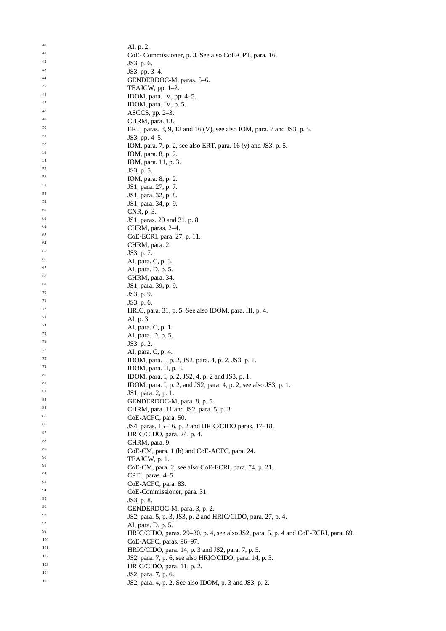| 40  | AI, p. 2.                                                                          |
|-----|------------------------------------------------------------------------------------|
| 41  |                                                                                    |
| 42  | CoE-Commissioner, p. 3. See also CoE-CPT, para. 16.                                |
| 43  | JS3, p. 6.                                                                         |
|     | JS3, pp. 3–4.                                                                      |
| 44  | GENDERDOC-M, paras. 5-6.                                                           |
| 45  | TEAJCW, pp. $1-2$ .                                                                |
| 46  | IDOM, para. IV, pp. 4-5.                                                           |
| 47  | IDOM, para. IV, p. 5.                                                              |
| 48  | $ASCCS$ , pp. 2–3.                                                                 |
| 49  | CHRM, para. 13.                                                                    |
| 50  | ERT, paras. 8, 9, 12 and 16 (V), see also IOM, para. 7 and JS3, p. 5.              |
| 51  | JS3, pp. 4–5.                                                                      |
| 52  |                                                                                    |
| 53  | IOM, para. 7, p. 2, see also ERT, para. 16 (v) and JS3, p. 5.                      |
| 54  | IOM, para. 8, p. 2.                                                                |
|     | IOM, para. 11, p. 3.                                                               |
| 55  | JS3, p. 5.                                                                         |
| 56  | IOM, para. 8, p. 2.                                                                |
| 57  | JS1, para. 27, p. 7.                                                               |
| 58  | JS1, para. 32, p. 8.                                                               |
| 59  | JS1, para. 34, p. 9.                                                               |
| 60  | CNR, p. 3.                                                                         |
| 61  | JS1, paras. 29 and 31, p. 8.                                                       |
| 62  | CHRM, paras. 2–4.                                                                  |
| 63  |                                                                                    |
| 64  | CoE-ECRI, para. 27, p. 11.                                                         |
|     | CHRM, para. 2.                                                                     |
| 65  | JS3, p. 7.                                                                         |
| 66  | AI, para. C, p. 3.                                                                 |
| 67  | AI, para. D, p. 5.                                                                 |
| 68  | CHRM, para. 34.                                                                    |
| 69  | JS1, para. 39, p. 9.                                                               |
| 70  | JS3, p. 9.                                                                         |
| 71  | JS3, p. 6.                                                                         |
| 72  | HRIC, para. 31, p. 5. See also IDOM, para. III, p. 4.                              |
| 73  | AI, p. 3.                                                                          |
| 74  |                                                                                    |
| 75  | AI, para. C, p. 1.                                                                 |
| 76  | AI, para. D, p. 5.                                                                 |
| 77  | JS3, p. 2.                                                                         |
|     | Al, para. C, p. 4.                                                                 |
| 78  | IDOM, para. I, p. 2, JS2, para. 4, p. 2, JS3, p. 1.                                |
| 79  | IDOM, para. II, p. 3.                                                              |
| 80  | IDOM, para. I, p. 2, JS2, 4, p. 2 and JS3, p. 1                                    |
| 81  | IDOM, para. I, p. 2, and JS2, para. 4, p. 2, see also JS3, p. 1.                   |
| 82  | JS1, para. 2, p. 1.                                                                |
| 83  | GENDERDOC-M, para. 8, p. 5.                                                        |
| 84  | CHRM, para. 11 and JS2, para. 5, p. 3.                                             |
| 85  | CoE-ACFC, para. 50.                                                                |
| 86  | JS4, paras. 15-16, p. 2 and HRIC/CIDO paras. 17-18.                                |
| 87  |                                                                                    |
| 88  | HRIC/CIDO, para. 24, p. 4.                                                         |
|     | CHRM, para. 9.                                                                     |
| 89  | CoE-CM, para. 1 (b) and CoE-ACFC, para. 24.                                        |
| 90  | TEAJCW, p. 1.                                                                      |
| 91  | CoE-CM, para. 2, see also CoE-ECRI, para. 74, p. 21.                               |
| 92  | CPTI, paras. 4–5.                                                                  |
| 93  | CoE-ACFC, para. 83.                                                                |
| 94  | CoE-Commissioner, para. 31.                                                        |
| 95  | JS3, p. 8.                                                                         |
| 96  | GENDERDOC-M, para. 3, p. 2.                                                        |
| 97  | JS2, para. 5, p. 3, JS3, p. 2 and HRIC/CIDO, para. 27, p. 4.                       |
| 98  |                                                                                    |
| 99  | AI, para. D, p. 5.                                                                 |
|     | HRIC/CIDO, paras. 29–30, p. 4, see also JS2, para. 5, p. 4 and CoE-ECRI, para. 69. |
| 100 | CoE-ACFC, paras. 96-97.                                                            |
| 101 | HRIC/CIDO, para. 14, p. 3 and JS2, para. 7, p. 5.                                  |
| 102 | JS2, para. 7, p. 6, see also HRIC/CIDO, para. 14, p. 3.                            |
| 103 | HRIC/CIDO, para. 11, p. 2.                                                         |
| 104 | JS2, para. 7, p. 6.                                                                |
| 105 | JS2, para. 4, p. 2. See also IDOM, p. 3 and JS3, p. 2.                             |
|     |                                                                                    |